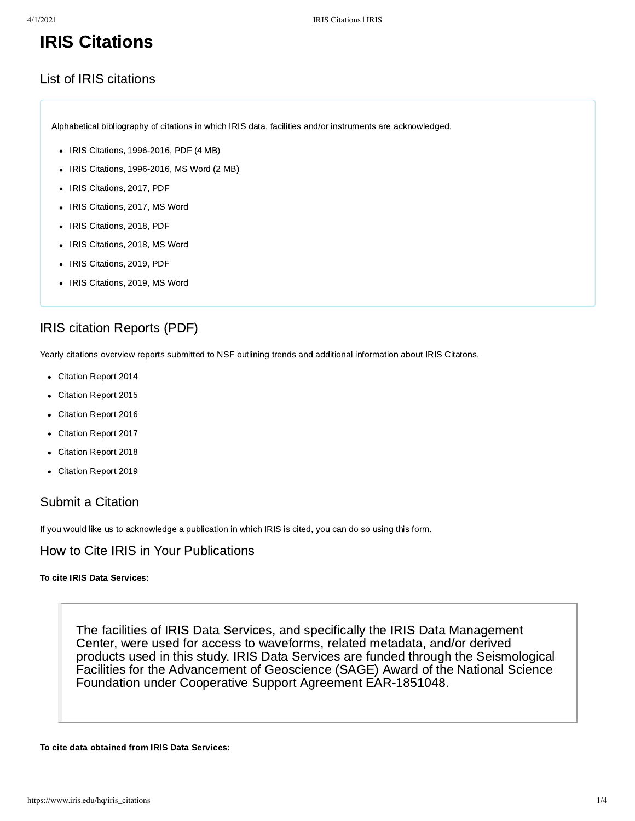# IRIS Citations

# List of IRIS citations

Alphabetical bibliography of citations in which IRIS data, facilities and/or instruments are acknowledged.

- [IRIS Citations, 1996-2016, PDF \(4 MB\)](https://www.iris.edu/hq/files/publications/iris_citations/doc/Main.IRISCitations_2016.pdf)
- $\bullet$  [IRIS Citations, 1996-2016, MS Word \(2 MB\)](https://www.iris.edu/hq/files/publications/iris_citations/doc/Main.IRISCitations_2016.docx)
- [IRIS Citations, 2017, PDF](https://www.iris.edu/hq/files/publications/iris_citations/IRIS_Citations_2017.pdf)
- [IRIS Citations, 2017, MS Word](https://www.iris.edu/hq/files/publications/iris_citations/IRIS_Citations_2017.docx)
- [IRIS Citations, 2018, PDF](https://www.iris.edu/hq/files/publications/iris_citations/IRIS_Citations_2018_list_final.pdf)
- [IRIS Citations, 2018, MS Word](https://www.iris.edu/hq/files/publications/iris_citations/IRIS_Citations_2018.docx)
- [IRIS Citations, 2019, PDF](https://www.iris.edu/hq/files/Science_Highlights/Citations_2019.pdf)
- [IRIS Citations, 2019, MS Word](https://www.iris.edu/hq/files/Science_Highlights/Citations_2019.docx)

# IRIS citation Reports (PDF)

Yearly citations overview reports submitted to NSF outlining trends and additional information about IRIS Citatons.

- [Citation Report 2014](https://www.iris.edu/hq/files/publications/iris_citations/IRIS_CITATION_PROJECT_2014_updated-2.pdf)
- [Citation Report 2015](https://www.iris.edu/hq/files/publications/iris_citations/IRIS_CITATION_PROJECT_2015.pdf)  $\bullet$
- [Citation Report 2016](https://www.iris.edu/hq/files/publications/iris_citations/IRIS_CITATION_PROJECT_2016.pdf)
- [Citation Report 2017](https://www.iris.edu/hq/files/publications/iris_citations/IRIS_CITATION_PROJECT_2017.pdf)  $\bullet$
- [Citation Report 2018](https://www.iris.edu/hq/files/publications/iris_citations/IRIS_CITATION_PROJECT_2018_FINAL.pdf)
- [Citation Report 2019](https://www.iris.edu/hq/files/Science_Highlights/IRIS_CITATION_PROJECT_2019.pdf)

# Submit a Citation

If you would like us to acknowledge a publication in which IRIS is cited, you can do so [using this form.](https://www.iris.edu/hq/forms/submit_citation)

# How to Cite IRIS in Your Publications

### To cite IRIS Data Services:

The facilities of IRIS Data Services, and specifically the IRIS Data Management Center, were used for access to waveforms, related metadata, and/or derived products used in this study. IRIS Data Services are funded through the Seismological Facilities for the Advancement of Geoscience (SAGE) Award of the National Science Foundation under Cooperative Support Agreement EAR-1851048.

To cite data obtained from IRIS Data Services: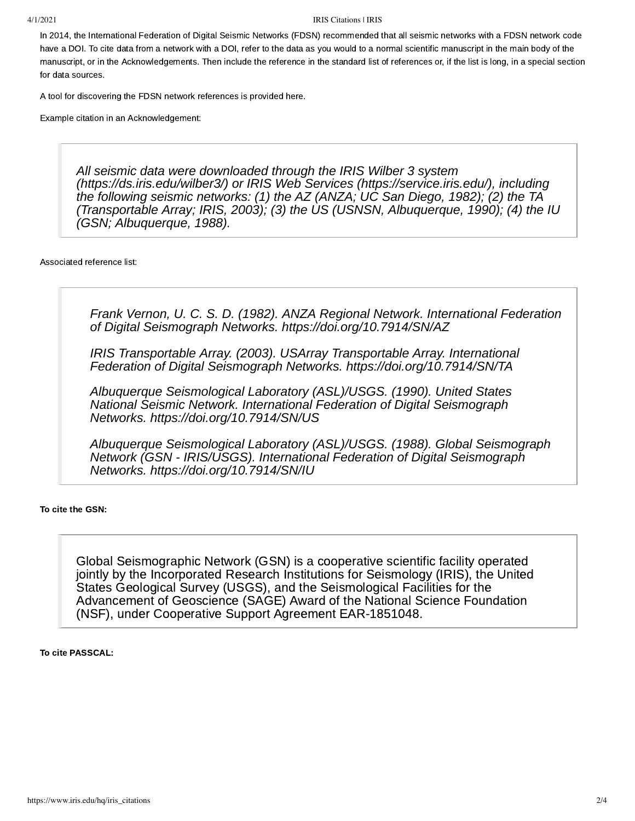#### 4/1/2021 IRIS Citations | IRIS

In 2014, the International Federation of Digital Seismic Networks ([FDSN](https://www.fdsn.org/)) recommended that all seismic networks with a FDSN network code have a DOI. To cite data from a network with a DOI, refer to the data as you would to a normal scientific manuscript in the main body of the manuscript, or in the Acknowledgements. Then include the reference in the standard list of references or, if the list is long, in a special section for data sources.

A tool for discovering the FDSN network references is provided [here](https://www.fdsn.org/networks/citation/).

Example citation in an Acknowledgement:

*All seismic data were downloaded through the IRIS Wilber 3 system (<https://ds.iris.edu/wilber3/>) or IRIS Web Services ([https://service.iris.edu/\)](https://service.iris.edu/), including the following seismic networks: (1) the AZ (ANZA; UC San Diego, 1982); (2) the TA (Transportable Array; IRIS, 2003); (3) the US (USNSN, Albuquerque, 1990); (4) the IU (GSN; Albuquerque, 1988).*

Associated reference list:

*Frank Vernon, U. C. S. D. (1982). ANZA Regional Network. International Federation of Digital Seismograph Networks. <https://doi.org/10.7914/SN/AZ>*

*IRIS Transportable Array. (2003). USArray Transportable Array. International Federation of Digital Seismograph Networks. <https://doi.org/10.7914/SN/TA>*

*Albuquerque Seismological Laboratory (ASL)/USGS. (1990). United States National Seismic Network. International Federation of Digital Seismograph Networks. <https://doi.org/10.7914/SN/US>*

*Albuquerque Seismological Laboratory (ASL)/USGS. (1988). Global Seismograph Network (GSN - IRIS/USGS). International Federation of Digital Seismograph Networks. <https://doi.org/10.7914/SN/IU>*

### To cite the GSN:

Global Seismographic Network (GSN) is a cooperative scientific facility operated jointly by the Incorporated Research Institutions for Seismology (IRIS), the United States Geological Survey (USGS), and the Seismological Facilities for the Advancement of Geoscience (SAGE) Award of the National Science Foundation (NSF), under Cooperative Support Agreement EAR-1851048.

To cite PASSCAL: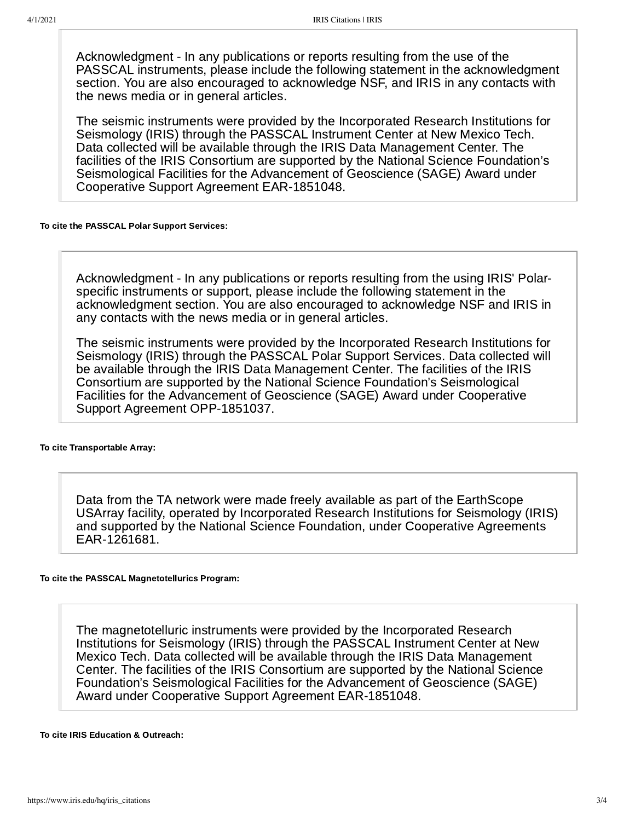Acknowledgment - In any publications or reports resulting from the use of the PASSCAL instruments, please include the following statement in the acknowledgment section. You are also encouraged to acknowledge NSF, and IRIS in any contacts with the news media or in general articles.

The seismic instruments were provided by the Incorporated Research Institutions for Seismology (IRIS) through the PASSCAL Instrument Center at New Mexico Tech. Data collected will be available through the IRIS Data Management Center. The facilities of the IRIS Consortium are supported by the National Science Foundation's Seismological Facilities for the Advancement of Geoscience (SAGE) Award under Cooperative Support Agreement EAR-1851048.

### To cite the PASSCAL Polar Support Services:

Acknowledgment - In any publications or reports resulting from the using IRIS' Polarspecific instruments or support, please include the following statement in the acknowledgment section. You are also encouraged to acknowledge NSF and IRIS in any contacts with the news media or in general articles.

The seismic instruments were provided by the Incorporated Research Institutions for Seismology (IRIS) through the PASSCAL Polar Support Services. Data collected will be available through the IRIS Data Management Center. The facilities of the IRIS Consortium are supported by the National Science Foundation's Seismological Facilities for the Advancement of Geoscience (SAGE) Award under Cooperative Support Agreement OPP-1851037.

To cite Transportable Array:

Data from the TA network were made freely available as part of the EarthScope USArray facility, operated by Incorporated Research Institutions for Seismology (IRIS) and supported by the National Science Foundation, under Cooperative Agreements EAR-1261681.

## To cite the PASSCAL Magnetotellurics Program:

The magnetotelluric instruments were provided by the Incorporated Research Institutions for Seismology (IRIS) through the PASSCAL Instrument Center at New Mexico Tech. Data collected will be available through the IRIS Data Management Center. The facilities of the IRIS Consortium are supported by the National Science Foundation's Seismological Facilities for the Advancement of Geoscience (SAGE) Award under Cooperative Support Agreement EAR-1851048.

To cite IRIS Education & Outreach: